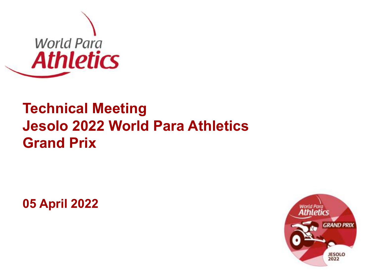

## **Technical Meeting Jesolo 2022 World Para Athletics Grand Prix**

**05 April 2022**

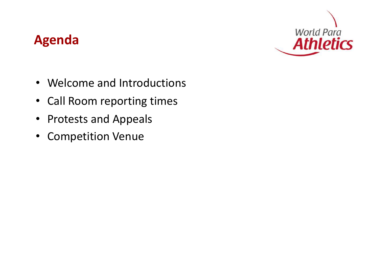### **Agenda**



- Welcome and Introductions NPCs and IOSDs widely and regularly  $\mathsf{P}$  and multure
- Call Room reporting times
- Protests and Appeals
- Competition Venue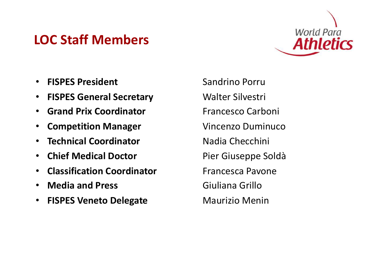### **LOC Staff Members**



- **FISPES President** Sandrino Porru NPCs and IOSDs widely and regularly practic
- FISPES General Secretary **Walter Silvestri**
- **Grand Prix Coordinator** Francesco Carboni
- **Competition Manager Vincenzo Duminuco**
- **Technical Coordinator Nadia Checchini**
- **Chief Medical Doctor** Pier Giuseppe Soldà
- **Classification Coordinator** Francesca Pavone Dear President/Secretary General,
- **Media and Press**
- **FISPES Veneto Delegate** received since the publication of the existing *Competition Rules and Regulations 2016-*

**Commatter** Rules Rules Rules and Rules and Rules and Regulation Rules and Rules and Rules and Rules and Rules a World Para Athletics would like to introduce a number of amendments to the *Competition <u>Giuliana Grillo</u>* **Maurizio Mening**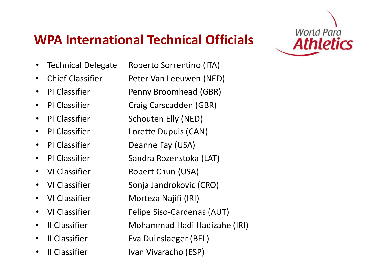### **WPA International Technical Officials**



- Technical Delegate Roberto Sorrentino (ITA)
- 
- 
- 
- 
- 
- 
- 
- 
- 
- 
- 
- 
- 
- 

• Chief Classifier Peter Van Leeuwen (NED) • PI Classifier Penny Broomhead (GBR) • PI Classifier Craig Carscadden (GBR) • PI Classifier Schouten Elly (NED) • PI Classifier Lorette Dupuis (CAN) • PI Classifier Deanne Fay (USA) • PI Classifier Sandra Rozenstoka (LAT) • VI Classifier Robert Chun (USA) • VI Classifier *Rules Sonja Jandrokovic (CRO)* • VI Classifier **Morteza Najifi (IRI)** are reflecting the feedback and reflecting the feedback and recommendations of the feedback and recommendations of the feedback and recommendations of the feedback and recommendations **•** VI Classifier Felipe Siso-Cardenas (AUT) • II Classifier **Mohammad Hadi Hadizahe (IRI) •** II Classifier Eva Duinslaeger (BEL) Dear President/Secretary General, World Pharm (COM) *2017* and *Point Committee Committee Sport Tempe* Sport Tempe publication. All these amendments with into force with into force with into force with into force with into for

• II Classifier Ivan Vivaracho (ESP)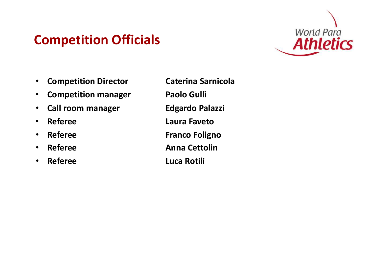### **Competition Officials**



- **Competition Director Caterina Sarnicola**  $\mathcal{L}$  and  $\mathcal{L}$  and  $\mathcal{L}$  and  $\mathcal{L}$  and  $\mathcal{L}$  and  $\mathcal{L}$  and  $\mathcal{L}$ practising Para Athletics
- **Competition manager Paolo Gulli**
- Call room manager **Edgardo Palazzi**
- 
- 
- 
- **Referee Luca Rotili**

• **Referee Laura Faveto** • **Referee** Franco Foligno **• Referee Anna Cettolin** Dear President/Secretary General,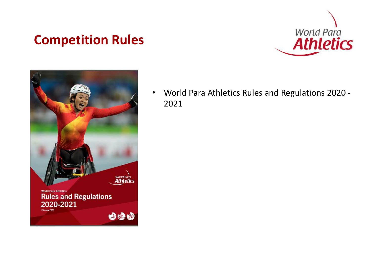### **Competition Rules**





• World Para Athletics Rules and Regulations 2020 - 2021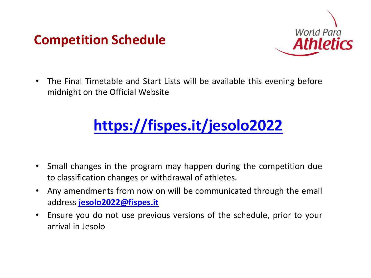### **Competition Schedule**



• The Final Timetable and Start Lists will be available this evening before midnight on the Official Website NPCs and IOSDs widely and regularly

# **<https://fispes.it/jesolo2022>**

- Small changes in the program may happen during the competition due to classification changes or withdrawal of athletes.
- **Any amendments from now on will be communicated through the email** address **[jesolo2022@fispes.it](mailto:jesolo2022@fispes.it)**<br>These appendix of the feedback and reflecting the feedback and reflecting the feedback and recommendations of th received since the existing  $\overline{C}$  the existing  $\overline{C}$  the existing  $\overline{C}$  and  $\overline{C}$  and  $\overline{C}$  and  $\overline{C}$  and  $\overline{C}$  and  $\overline{C}$  and  $\overline{C}$  and  $\overline{C}$  and  $\overline{C}$  and  $\overline{C}$  and  $\overline{C}$  and  $\overline{C}$
- **•** Ensure you do not use previous versions of the schedule, prior to your arrival in Jesolo  $m_0$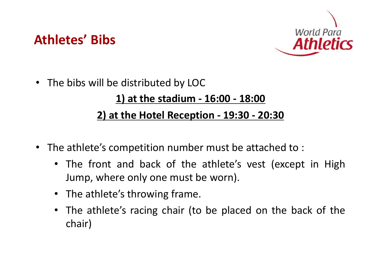



- The bibs will be distributed by LOC **1) at the stadium - 16:00 - 18:00 2) at the Hotel Reception - 19:30 - 20:30** via Email
- The athlete's competition number must be attached to:
	- The front and back of the athlete's vest (except in High Jump, where only one must be worn).
	- The athlete's throwing frame. *Rules and Regulations 2016- 2017* published in January 2016.
	- The athlete's racing chair (to be placed on the back of the chair) *2017* and reviewed by Sport Technical Committee Committee, Technical Committee, Technical Advisory Group and Committee, Technical Committee, Technical Advisory Group and Committee, Technical Committee, Technical Advisory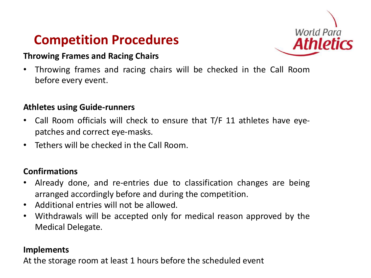### **Competition Procedures**



### **Throwing Frames and Racing Chairs**

• Throwing frames and racing chairs will be checked in the Call Room before every event.

#### **Athletes using Guide-runners**

- Call Room officials will check to ensure that T/F 11 athletes have eyepatches and correct eye-masks.
- Tethers will be checked in the Call Room.

### **Confirmations**

- Already done, and re-entries due to classification changes are being arranged accordingly before and during the competition. World Para Athletics would like to introduce a number of amendments to the *Competition Rules and Regulations 2016- 2017* published in January 2016.
- **•** Additional entries will not be allowed. And Regulation Rules and Regulation Rules and Regulation Rules and Regulations 2016-
- Withdrawals will be accepted only for medical reason approved by the Medical Delegate.  $m_{\tilde{t}}$  and the amendments are provided further clarity to the application of the application of the application of the application of the application of the application of the application of the application of the app

#### **Implements**

At the storage room at least 1 hours before the scheduled event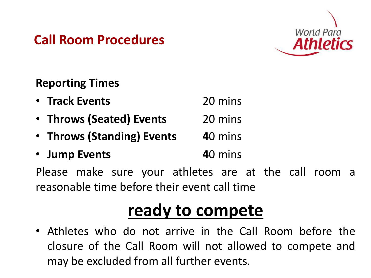## **Call Room Procedures**



### **Reporting Times**

| • Track Events             | 20 mins |
|----------------------------|---------|
| • Throws (Seated) Events   | 20 mins |
| • Throws (Standing) Events | 40 mins |
| • Jump Events              | 40 mins |

Please make sure your athletes are at the call room a reasonable time before their event call time Dear President/Secretary General, World Para attricted and an international and a number of a

#### **ready to compete** <u>**2007 to Compute</u>**</u>

• Athletes who do not arrive in the Call Room before the closure of the Call Room will not allowed to compete and may be excluded from all further events. who do not arrive in the call Room before the and can not will not anowed to contribute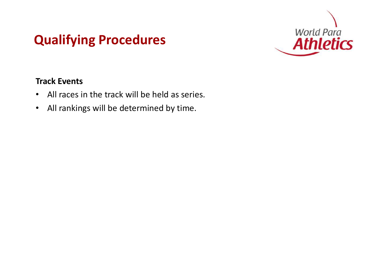## **Qualifying Procedures**



### **Track Events**

- All races in the track will be held as series.
- All rankings will be determined by time.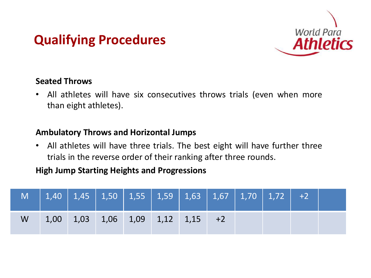## **Qualifying Procedures**



### **Seated Throws**

• All athletes will have six consecutives throws trials (even when more than eight athletes).

#### **Ambulatory Throws and Horizontal Jumps**

• All athletes will have three trials. The best eight will have further three trials in the reverse order of their ranking after three rounds.

#### **High Jump Starting Heights and Progressions** Dear President/Secretary General, World Para Athletics would like to introduce a number of amendments to the *Competition*

|   | M   1,40   1,45   1,50   1,55   1,59   1,63   1,67   1,70   1,72   +2 |  |  |  |  |  |
|---|-----------------------------------------------------------------------|--|--|--|--|--|
| W | $1,00$ $1,03$ $1,06$ $1,09$ $1,12$ $1,15$ $+2$                        |  |  |  |  |  |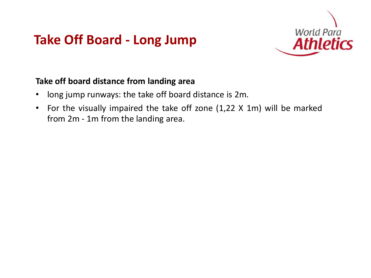### **Take Off Board - Long Jump**



#### **Take off board distance from landing area**  $\mathbf{A}$  and  $\mathbf{A}$  and  $\mathbf{A}$  and  $\mathbf{A}$  and  $\mathbf{A}$ practising Para Athletics

- long jump runways: the take off board distance is 2m.
- For the visually impaired the take off zone (1,22 X 1m) will be marked from 2m - 1m from the landing area.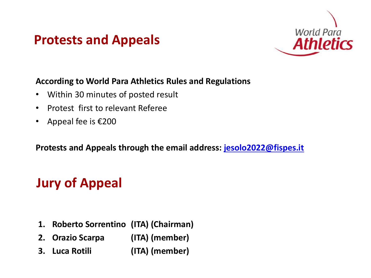### **Protests and Appeals**



#### **According to World Para Athletics Rules and Regulations** NPCs and IOSDs widely and regularly practising Para Athletics

- Within 30 minutes of posted result
- Protest first to relevant Referee
- Appeal fee is  $\epsilon$ 200

**Protests and Appeals through the email address: <b>[jesolo2022@fispes.it](mailto:jesolo2022@fispes.it)** 

#### World Para Athletics would like to introduce a number of amendments to the *Competition Rules and Regulations**2016-2017* **published in Appeal**

- **1.** Roberto Sorrentino (ITA) (Chairman)<br> **1. Roberto** Sorrentino (ITA) (Chairman)
- (ITA) (member)  $\mathbf{p}$  and  $\mathbf{p}$  amendments with immediate effect except the force with into force with into force with into force with  $\mathbf{p}$ **2. Orazio Scarpa**
- amendment to Rule 6.16 which shall come into force from 1 March 2017. **3. Luca Rotili (ITA) (member)**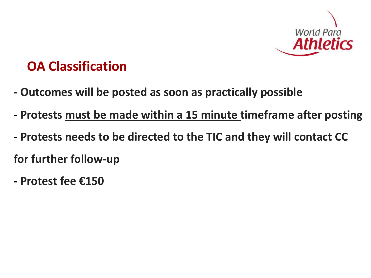

### **OA Classification**

- practising Para Athletics via Email **- Outcomes will be posted as soon as practically possible**
- **- Protests must be made within a 15 minute timeframe after posting**
- $A_{\rm{max}}$  and  $B_{\rm{max}}$  and  $B_{\rm{max}}$  and  $B_{\rm{max}}$  and  $B_{\rm{max}}$ for further follow-up **- Protests needs to be directed to the TIC and they will contact CC**
- World Para Athletics would like to introduce a number of amendments to the *Competition Rules and Regulations 2016- 2017* published in January 2016. **- Protest fee €150**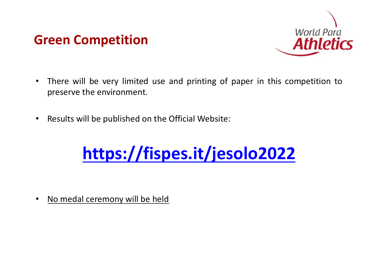### **Green Competition**



- There will be very limited use and printing of paper in this competition to preserve the environment. NPCs and IOSDs widely and regularly
- Results will be published on the Official Website:

### <https://fispes.it/jesolo2022> Dear President/Secretary General,

• No medal ceremony will be held and reflections (see appendix) and reflections (see appendix) and recommendations (see appendix) and recommendations (see appendix) and reflections (see appendix) and recommendations (see a received since the publication of the existing *Competition Rules and Regulations 2016-*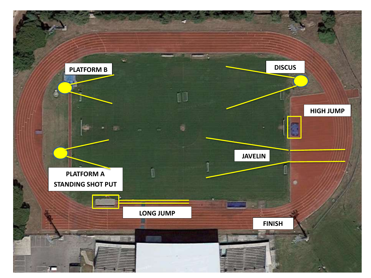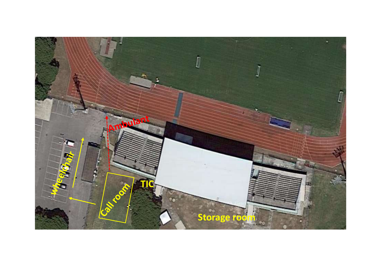